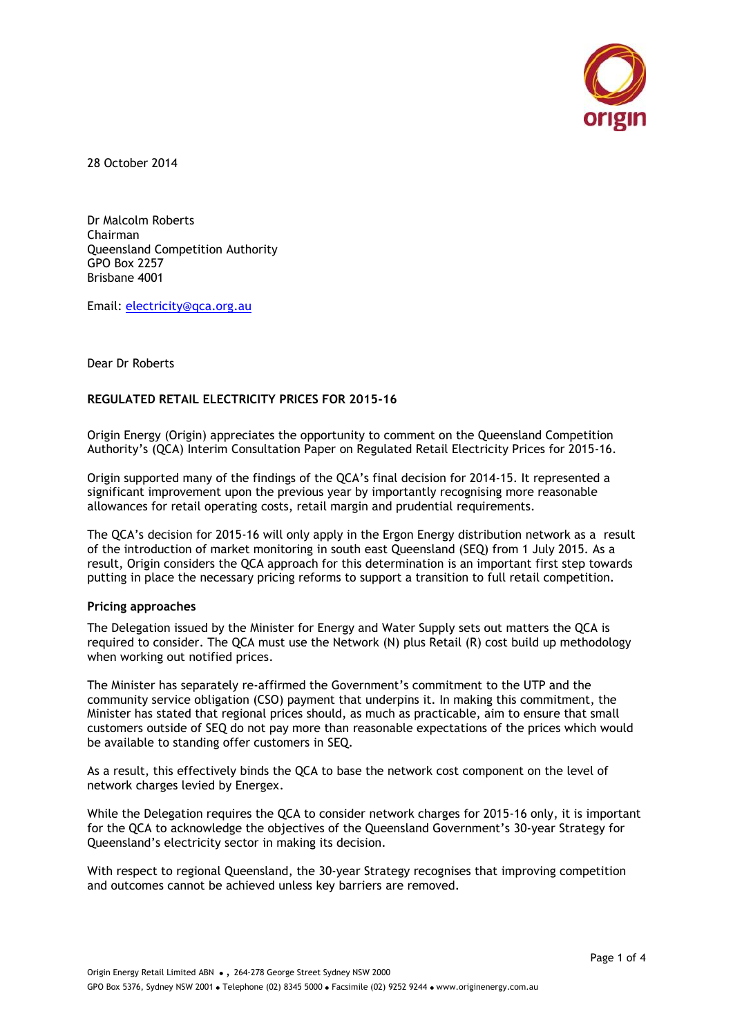

28 October 2014

Dr Malcolm Roberts Chairman Queensland Competition Authority GPO Box 2257 Brisbane 4001

Email: [electricity@qca.org.au](mailto:electricity@qca.org.au)

Dear Dr Roberts

# **REGULATED RETAIL ELECTRICITY PRICES FOR 2015-16**

Origin Energy (Origin) appreciates the opportunity to comment on the Queensland Competition Authority's (QCA) Interim Consultation Paper on Regulated Retail Electricity Prices for 2015-16.

Origin supported many of the findings of the QCA's final decision for 2014-15. It represented a significant improvement upon the previous year by importantly recognising more reasonable allowances for retail operating costs, retail margin and prudential requirements.

The QCA's decision for 2015-16 will only apply in the Ergon Energy distribution network as a result of the introduction of market monitoring in south east Queensland (SEQ) from 1 July 2015. As a result, Origin considers the QCA approach for this determination is an important first step towards putting in place the necessary pricing reforms to support a transition to full retail competition.

### **Pricing approaches**

The Delegation issued by the Minister for Energy and Water Supply sets out matters the QCA is required to consider. The QCA must use the Network (N) plus Retail (R) cost build up methodology when working out notified prices.

The Minister has separately re-affirmed the Government's commitment to the UTP and the community service obligation (CSO) payment that underpins it. In making this commitment, the Minister has stated that regional prices should, as much as practicable, aim to ensure that small customers outside of SEQ do not pay more than reasonable expectations of the prices which would be available to standing offer customers in SEQ.

As a result, this effectively binds the QCA to base the network cost component on the level of network charges levied by Energex.

While the Delegation requires the QCA to consider network charges for 2015-16 only, it is important for the QCA to acknowledge the objectives of the Queensland Government's 30-year Strategy for Queensland's electricity sector in making its decision.

With respect to regional Queensland, the 30-year Strategy recognises that improving competition and outcomes cannot be achieved unless key barriers are removed.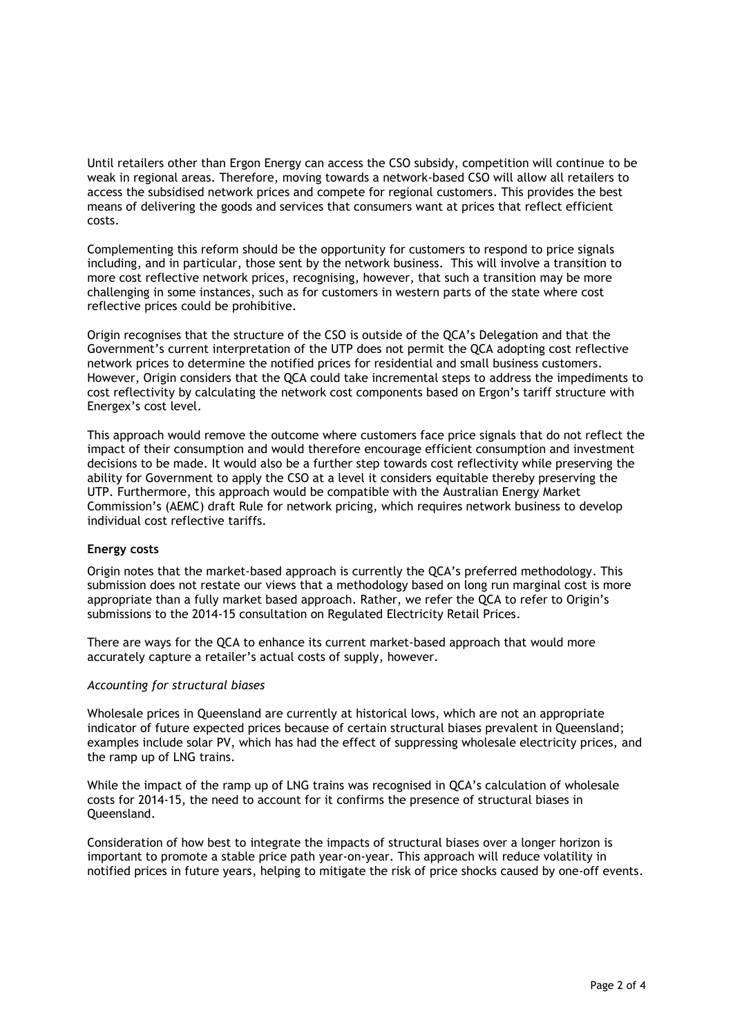Until retailers other than Ergon Energy can access the CSO subsidy, competition will continue to be weak in regional areas. Therefore, moving towards a network-based CSO will allow all retailers to access the subsidised network prices and compete for regional customers. This provides the best means of delivering the goods and services that consumers want at prices that reflect efficient costs.

Complementing this reform should be the opportunity for customers to respond to price signals including, and in particular, those sent by the network business. This will involve a transition to more cost reflective network prices, recognising, however, that such a transition may be more challenging in some instances, such as for customers in western parts of the state where cost reflective prices could be prohibitive.

Origin recognises that the structure of the CSO is outside of the QCA's Delegation and that the Government's current interpretation of the UTP does not permit the QCA adopting cost reflective network prices to determine the notified prices for residential and small business customers. However, Origin considers that the QCA could take incremental steps to address the impediments to cost reflectivity by calculating the network cost components based on Ergon's tariff structure with Energex's cost level.

This approach would remove the outcome where customers face price signals that do not reflect the impact of their consumption and would therefore encourage efficient consumption and investment decisions to be made. It would also be a further step towards cost reflectivity while preserving the ability for Government to apply the CSO at a level it considers equitable thereby preserving the UTP. Furthermore, this approach would be compatible with the Australian Energy Market Commission's (AEMC) draft Rule for network pricing, which requires network business to develop individual cost reflective tariffs.

### **Energy costs**

Origin notes that the market-based approach is currently the QCA's preferred methodology. This submission does not restate our views that a methodology based on long run marginal cost is more appropriate than a fully market based approach. Rather, we refer the QCA to refer to Origin's submissions to the 2014-15 consultation on Regulated Electricity Retail Prices.

There are ways for the QCA to enhance its current market-based approach that would more accurately capture a retailer's actual costs of supply, however.

### *Accounting for structural biases*

Wholesale prices in Queensland are currently at historical lows, which are not an appropriate indicator of future expected prices because of certain structural biases prevalent in Queensland; examples include solar PV, which has had the effect of suppressing wholesale electricity prices, and the ramp up of LNG trains.

While the impact of the ramp up of LNG trains was recognised in QCA's calculation of wholesale costs for 2014-15, the need to account for it confirms the presence of structural biases in Queensland.

Consideration of how best to integrate the impacts of structural biases over a longer horizon is important to promote a stable price path year-on-year. This approach will reduce volatility in notified prices in future years, helping to mitigate the risk of price shocks caused by one-off events.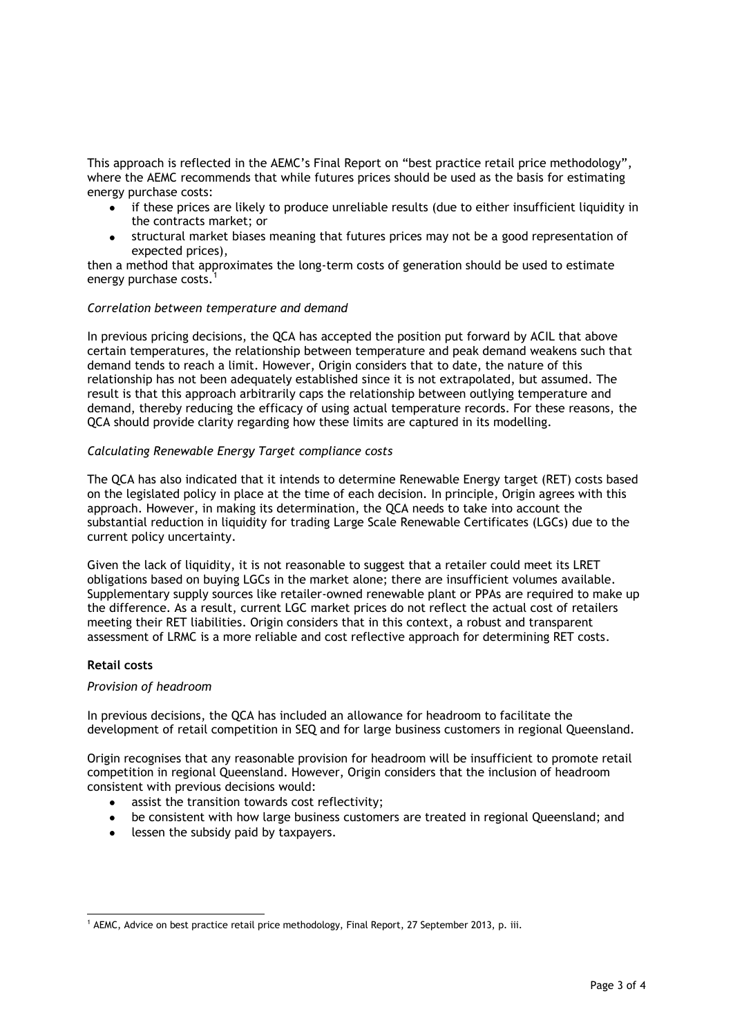This approach is reflected in the AEMC's Final Report on "best practice retail price methodology", where the AEMC recommends that while futures prices should be used as the basis for estimating energy purchase costs:

- if these prices are likely to produce unreliable results (due to either insufficient liquidity in the contracts market; or
- structural market biases meaning that futures prices may not be a good representation of expected prices),

then a method that approximates the long-term costs of generation should be used to estimate energy purchase costs.<sup>1</sup>

### *Correlation between temperature and demand*

In previous pricing decisions, the QCA has accepted the position put forward by ACIL that above certain temperatures, the relationship between temperature and peak demand weakens such that demand tends to reach a limit. However, Origin considers that to date, the nature of this relationship has not been adequately established since it is not extrapolated, but assumed. The result is that this approach arbitrarily caps the relationship between outlying temperature and demand, thereby reducing the efficacy of using actual temperature records. For these reasons, the QCA should provide clarity regarding how these limits are captured in its modelling.

# *Calculating Renewable Energy Target compliance costs*

The QCA has also indicated that it intends to determine Renewable Energy target (RET) costs based on the legislated policy in place at the time of each decision. In principle, Origin agrees with this approach. However, in making its determination, the QCA needs to take into account the substantial reduction in liquidity for trading Large Scale Renewable Certificates (LGCs) due to the current policy uncertainty.

Given the lack of liquidity, it is not reasonable to suggest that a retailer could meet its LRET obligations based on buying LGCs in the market alone; there are insufficient volumes available. Supplementary supply sources like retailer-owned renewable plant or PPAs are required to make up the difference. As a result, current LGC market prices do not reflect the actual cost of retailers meeting their RET liabilities. Origin considers that in this context, a robust and transparent assessment of LRMC is a more reliable and cost reflective approach for determining RET costs.

### **Retail costs**

### *Provision of headroom*

In previous decisions, the QCA has included an allowance for headroom to facilitate the development of retail competition in SEQ and for large business customers in regional Queensland.

Origin recognises that any reasonable provision for headroom will be insufficient to promote retail competition in regional Queensland. However, Origin considers that the inclusion of headroom consistent with previous decisions would:

- assist the transition towards cost reflectivity;
- be consistent with how large business customers are treated in regional Queensland; and
- lessen the subsidy paid by taxpayers.

 $\overline{a}$ <sup>1</sup> AEMC, Advice on best practice retail price methodology, Final Report, 27 September 2013, p. iii.